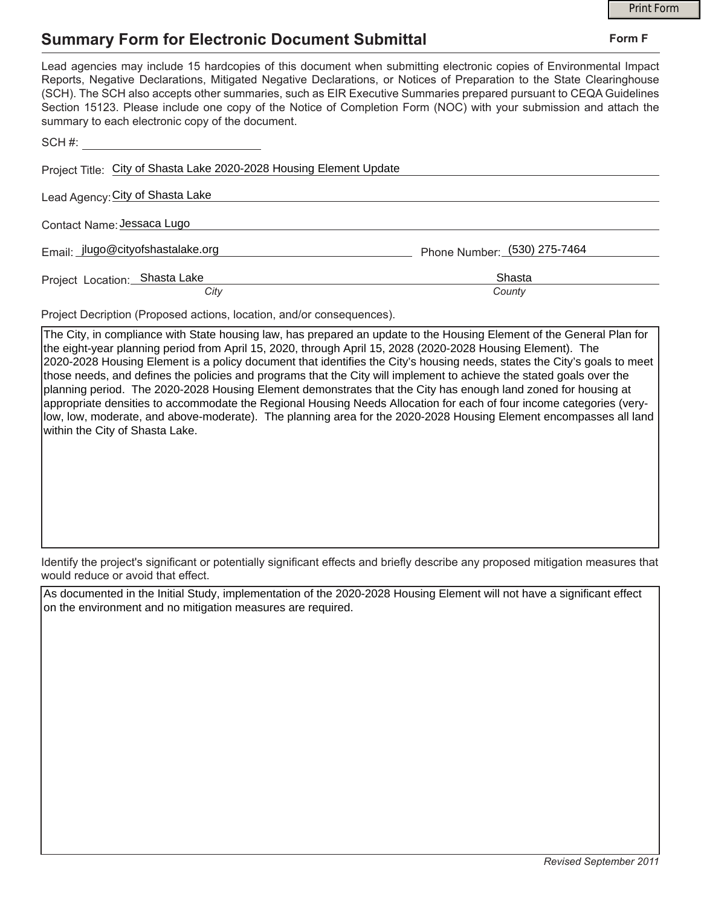## **Summary Form for Electronic Document Submittal**

|                                                                                                                                                                                                                                                                                                                                                                                                                                                                                                                                           |                              | <b>Print Form</b> |  |
|-------------------------------------------------------------------------------------------------------------------------------------------------------------------------------------------------------------------------------------------------------------------------------------------------------------------------------------------------------------------------------------------------------------------------------------------------------------------------------------------------------------------------------------------|------------------------------|-------------------|--|
| <b>Summary Form for Electronic Document Submittal</b>                                                                                                                                                                                                                                                                                                                                                                                                                                                                                     |                              | Form F            |  |
| Lead agencies may include 15 hardcopies of this document when submitting electronic copies of Environmental Impact<br>Reports, Negative Declarations, Mitigated Negative Declarations, or Notices of Preparation to the State Clearinghouse<br>(SCH). The SCH also accepts other summaries, such as EIR Executive Summaries prepared pursuant to CEQA Guidelines<br>Section 15123. Please include one copy of the Notice of Completion Form (NOC) with your submission and attach the<br>summary to each electronic copy of the document. |                              |                   |  |
|                                                                                                                                                                                                                                                                                                                                                                                                                                                                                                                                           |                              |                   |  |
| Project Title: City of Shasta Lake 2020-2028 Housing Element Update                                                                                                                                                                                                                                                                                                                                                                                                                                                                       |                              |                   |  |
| Lead Agency: City of Shasta Lake                                                                                                                                                                                                                                                                                                                                                                                                                                                                                                          |                              |                   |  |
| Contact Name: Jessaca Lugo                                                                                                                                                                                                                                                                                                                                                                                                                                                                                                                |                              |                   |  |
| Email: jlugo@cityofshastalake.org                                                                                                                                                                                                                                                                                                                                                                                                                                                                                                         | Phone Number: (530) 275-7464 |                   |  |
| Project Location: Shasta Lake<br>City                                                                                                                                                                                                                                                                                                                                                                                                                                                                                                     | Shasta<br>County             |                   |  |

Project Decription (Proposed actions, location, and/or consequences).

The City, in compliance with State housing law, has prepared an update to the Housing Element of the General Plan for the eight-year planning period from April 15, 2020, through April 15, 2028 (2020-2028 Housing Element). The 2020-2028 Housing Element is a policy document that identifies the City's housing needs, states the City's goals to meet those needs, and defines the policies and programs that the City will implement to achieve the stated goals over the planning period. The 2020-2028 Housing Element demonstrates that the City has enough land zoned for housing at appropriate densities to accommodate the Regional Housing Needs Allocation for each of four income categories (verylow, low, moderate, and above-moderate). The planning area for the 2020-2028 Housing Element encompasses all land within the City of Shasta Lake.

Identify the project's significant or potentially significant effects and briefly describe any proposed mitigation measures that would reduce or avoid that effect.

As documented in the Initial Study, implementation of the 2020-2028 Housing Element will not have a significant effect on the environment and no mitigation measures are required.